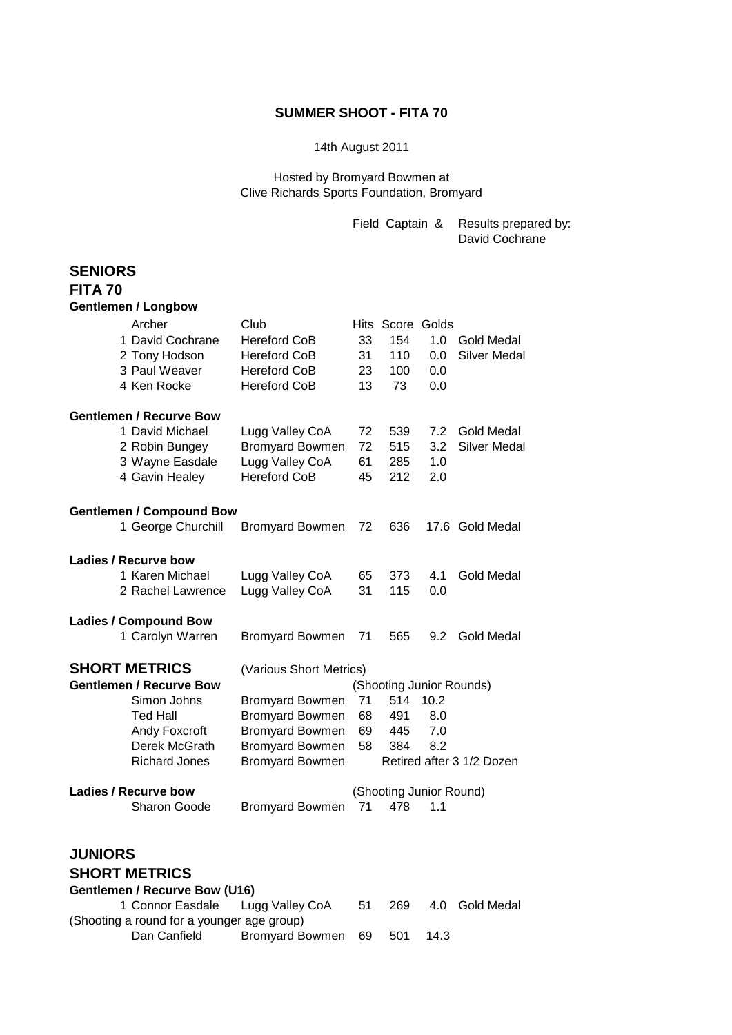### **SUMMER SHOOT - FITA 70**

#### 14th August 2011

Hosted by Bromyard Bowmen at Clive Richards Sports Foundation, Bromyard

> Field Captain & Results prepared by: David Cochrane

## **SENIORS FITA 70 Gentlemen / Longbow** Archer Club Club Hits Score Golds 1 David Cochrane Hereford CoB 33 154 1.0 Gold Medal 2 Tony Hodson Hereford CoB 31 110 0.0 Silver Medal 3 Paul Weaver Hereford CoB 23 100 0.0 4 Ken Rocke Hereford CoB 13 73 0.0 **Gentlemen / Recurve Bow** 1 David Michael Lugg Valley CoA 72 539 7.2 Gold Medal 2 Robin Bungey Bromyard Bowmen 72 515 3.2 Silver Medal 3 Wayne Easdale Lugg Valley CoA 61 285 1.0 4 Gavin Healey Hereford CoB 45 212 2.0 **Gentlemen / Compound Bow** 1 George Churchill Bromyard Bowmen 72 636 17.6 Gold Medal **Ladies / Recurve bow** 1 Karen Michael Lugg Valley CoA 65 373 4.1 Gold Medal 2 Rachel Lawrence Lugg Valley CoA 31 115 0.0 **Ladies / Compound Bow** 1 Carolyn Warren Bromyard Bowmen 71 565 9.2 Gold Medal **SHORT METRICS** (Various Short Metrics) **Gentlemen / Recurve Bow** (Shooting Junior Rounds) Simon Johns Bromyard Bowmen 71 514 10.2 Ted Hall Bromyard Bowmen 68 491 8.0 Andy Foxcroft Bromyard Bowmen 69 445 7.0 Derek McGrath Bromyard Bowmen 58 384 8.2 Richard Jones Bromyard Bowmen Retired after 3 1/2 Dozen **Ladies / Recurve bow** (Shooting Junior Round) Sharon Goode Bromyard Bowmen 71 478 1.1 **JUNIORS SHORT METRICS**

### **Gentlemen / Recurve Bow (U16)** 1 Connor Easdale Lugg Valley CoA 51 269 4.0 Gold Medal (Shooting a round for a younger age group) Dan Canfield Bromyard Bowmen 69 501 14.3